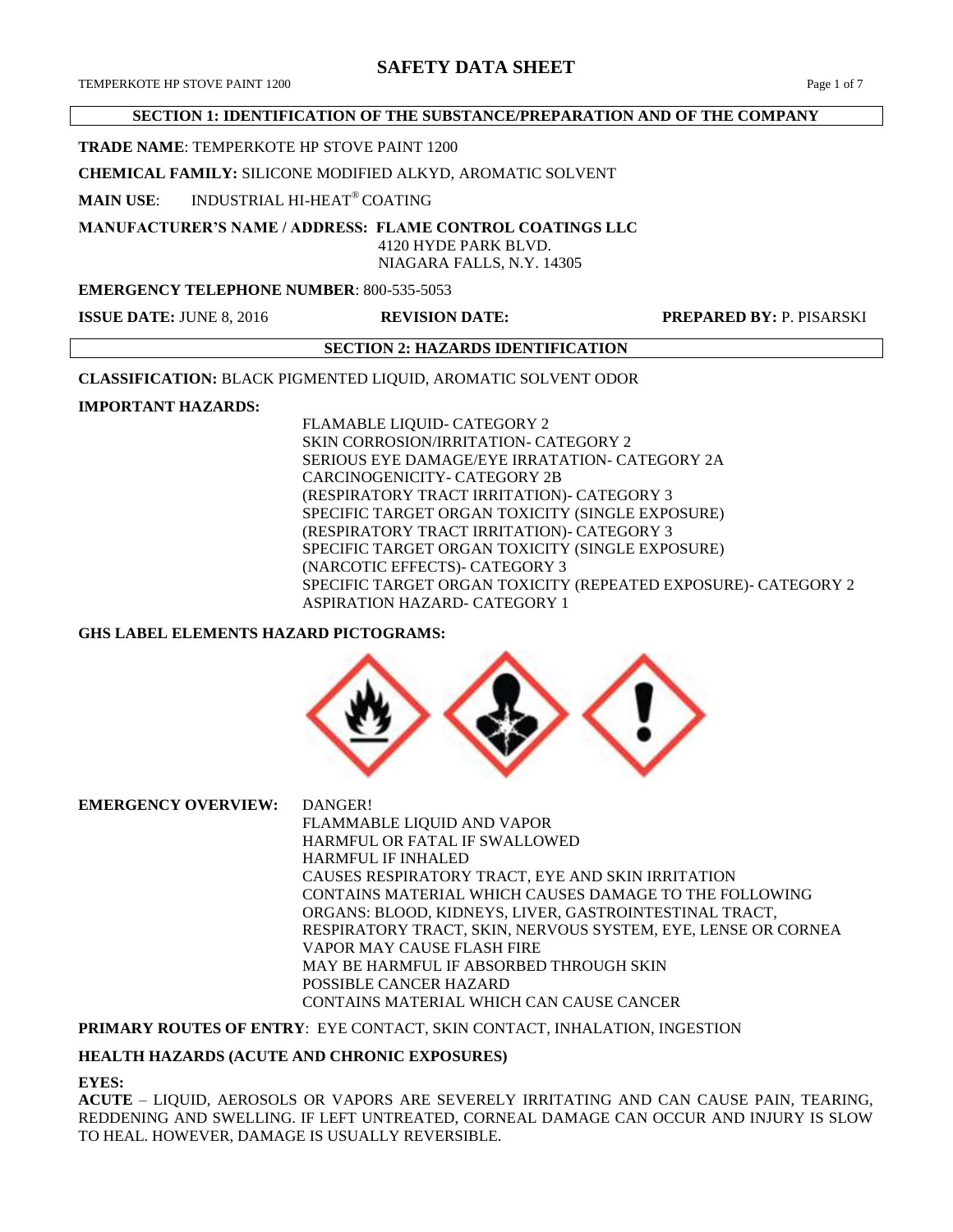## **SAFETY DATA SHEET**

#### **SECTION 1: IDENTIFICATION OF THE SUBSTANCE/PREPARATION AND OF THE COMPANY**

#### **TRADE NAME**: TEMPERKOTE HP STOVE PAINT 1200

**CHEMICAL FAMILY:** SILICONE MODIFIED ALKYD, AROMATIC SOLVENT

**MAIN USE**: INDUSTRIAL HI-HEAT® COATING

**MANUFACTURER'S NAME / ADDRESS: FLAME CONTROL COATINGS LLC**

#### 4120 HYDE PARK BLVD. NIAGARA FALLS, N.Y. 14305

#### **EMERGENCY TELEPHONE NUMBER**: 800-535-5053

**ISSUE DATE:** JUNE 8, 2016 **REVISION DATE: PREPARED BY:** P. PISARSKI

# **SECTION 2: HAZARDS IDENTIFICATION**

**CLASSIFICATION:** BLACK PIGMENTED LIQUID, AROMATIC SOLVENT ODOR

#### **IMPORTANT HAZARDS:**

FLAMABLE LIQUID- CATEGORY 2 SKIN CORROSION/IRRITATION- CATEGORY 2 SERIOUS EYE DAMAGE/EYE IRRATATION- CATEGORY 2A CARCINOGENICITY- CATEGORY 2B (RESPIRATORY TRACT IRRITATION)- CATEGORY 3 SPECIFIC TARGET ORGAN TOXICITY (SINGLE EXPOSURE) (RESPIRATORY TRACT IRRITATION)- CATEGORY 3 SPECIFIC TARGET ORGAN TOXICITY (SINGLE EXPOSURE) (NARCOTIC EFFECTS)- CATEGORY 3 SPECIFIC TARGET ORGAN TOXICITY (REPEATED EXPOSURE)- CATEGORY 2 ASPIRATION HAZARD- CATEGORY 1

## **GHS LABEL ELEMENTS HAZARD PICTOGRAMS:**



**EMERGENCY OVERVIEW:** DANGER! FLAMMABLE LIQUID AND VAPOR HARMFUL OR FATAL IF SWALLOWED HARMFUL IF INHALED CAUSES RESPIRATORY TRACT, EYE AND SKIN IRRITATION CONTAINS MATERIAL WHICH CAUSES DAMAGE TO THE FOLLOWING ORGANS: BLOOD, KIDNEYS, LIVER, GASTROINTESTINAL TRACT, RESPIRATORY TRACT, SKIN, NERVOUS SYSTEM, EYE, LENSE OR CORNEA VAPOR MAY CAUSE FLASH FIRE MAY BE HARMFUL IF ABSORBED THROUGH SKIN POSSIBLE CANCER HAZARD CONTAINS MATERIAL WHICH CAN CAUSE CANCER

**PRIMARY ROUTES OF ENTRY**: EYE CONTACT, SKIN CONTACT, INHALATION, INGESTION

### **HEALTH HAZARDS (ACUTE AND CHRONIC EXPOSURES)**

#### **EYES:**

**ACUTE** – LIQUID, AEROSOLS OR VAPORS ARE SEVERELY IRRITATING AND CAN CAUSE PAIN, TEARING, REDDENING AND SWELLING. IF LEFT UNTREATED, CORNEAL DAMAGE CAN OCCUR AND INJURY IS SLOW TO HEAL. HOWEVER, DAMAGE IS USUALLY REVERSIBLE.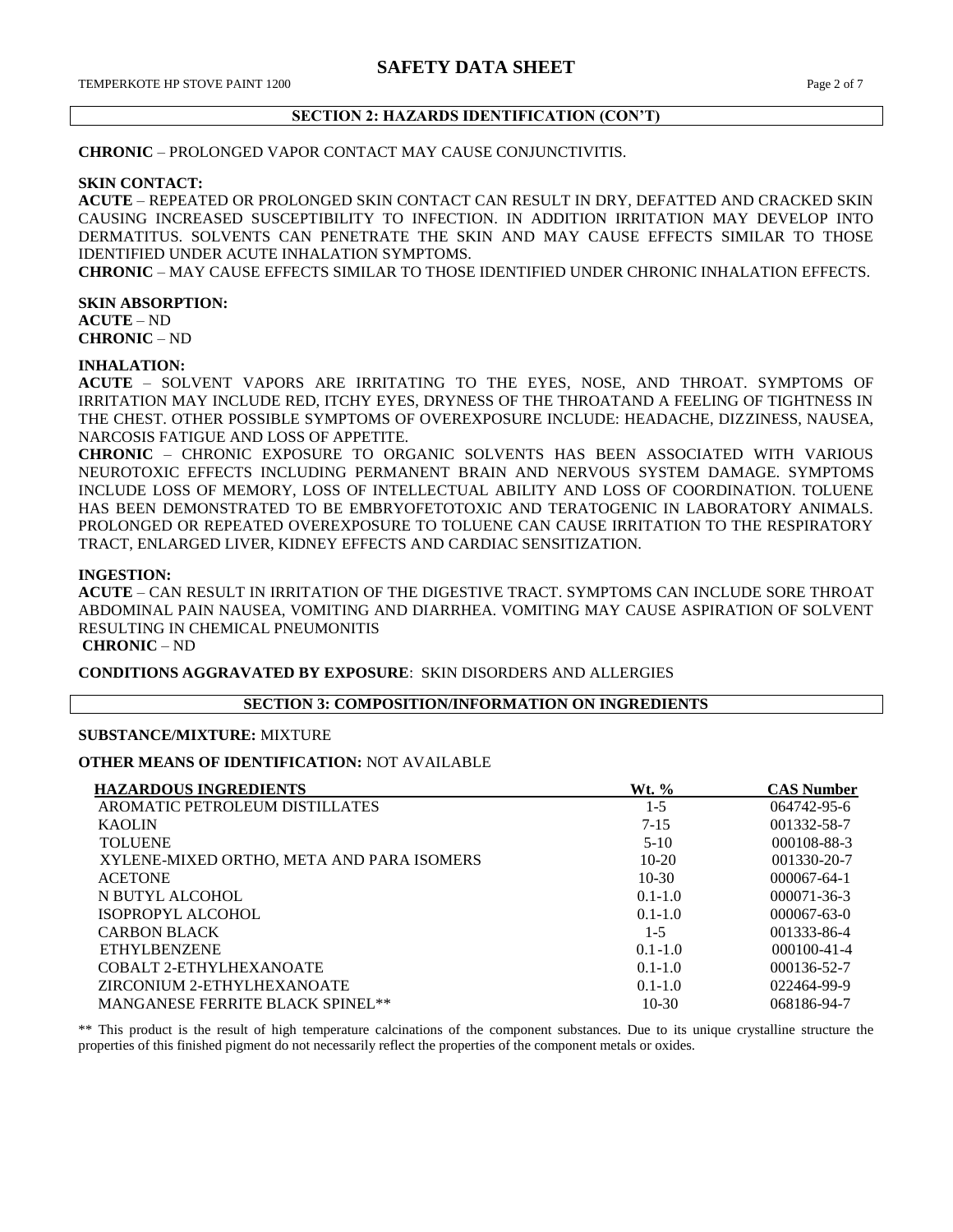### **SECTION 2: HAZARDS IDENTIFICATION (CON'T)**

**CHRONIC** – PROLONGED VAPOR CONTACT MAY CAUSE CONJUNCTIVITIS.

## **SKIN CONTACT:**

**ACUTE** – REPEATED OR PROLONGED SKIN CONTACT CAN RESULT IN DRY, DEFATTED AND CRACKED SKIN CAUSING INCREASED SUSCEPTIBILITY TO INFECTION. IN ADDITION IRRITATION MAY DEVELOP INTO DERMATITUS. SOLVENTS CAN PENETRATE THE SKIN AND MAY CAUSE EFFECTS SIMILAR TO THOSE IDENTIFIED UNDER ACUTE INHALATION SYMPTOMS.

**CHRONIC** – MAY CAUSE EFFECTS SIMILAR TO THOSE IDENTIFIED UNDER CHRONIC INHALATION EFFECTS.

**SKIN ABSORPTION: ACUTE** – ND **CHRONIC** – ND

### **INHALATION:**

**ACUTE** – SOLVENT VAPORS ARE IRRITATING TO THE EYES, NOSE, AND THROAT. SYMPTOMS OF IRRITATION MAY INCLUDE RED, ITCHY EYES, DRYNESS OF THE THROATAND A FEELING OF TIGHTNESS IN THE CHEST. OTHER POSSIBLE SYMPTOMS OF OVEREXPOSURE INCLUDE: HEADACHE, DIZZINESS, NAUSEA, NARCOSIS FATIGUE AND LOSS OF APPETITE.

**CHRONIC** – CHRONIC EXPOSURE TO ORGANIC SOLVENTS HAS BEEN ASSOCIATED WITH VARIOUS NEUROTOXIC EFFECTS INCLUDING PERMANENT BRAIN AND NERVOUS SYSTEM DAMAGE. SYMPTOMS INCLUDE LOSS OF MEMORY, LOSS OF INTELLECTUAL ABILITY AND LOSS OF COORDINATION. TOLUENE HAS BEEN DEMONSTRATED TO BE EMBRYOFETOTOXIC AND TERATOGENIC IN LABORATORY ANIMALS. PROLONGED OR REPEATED OVEREXPOSURE TO TOLUENE CAN CAUSE IRRITATION TO THE RESPIRATORY TRACT, ENLARGED LIVER, KIDNEY EFFECTS AND CARDIAC SENSITIZATION.

#### **INGESTION:**

**ACUTE** – CAN RESULT IN IRRITATION OF THE DIGESTIVE TRACT. SYMPTOMS CAN INCLUDE SORE THROAT ABDOMINAL PAIN NAUSEA, VOMITING AND DIARRHEA. VOMITING MAY CAUSE ASPIRATION OF SOLVENT RESULTING IN CHEMICAL PNEUMONITIS

**CHRONIC** – ND

**CONDITIONS AGGRAVATED BY EXPOSURE**: SKIN DISORDERS AND ALLERGIES

#### **SECTION 3: COMPOSITION/INFORMATION ON INGREDIENTS**

## **SUBSTANCE/MIXTURE:** MIXTURE

## **OTHER MEANS OF IDENTIFICATION:** NOT AVAILABLE

| <b>HAZARDOUS INGREDIENTS</b>              | Wt. %       | <b>CAS Number</b> |
|-------------------------------------------|-------------|-------------------|
| AROMATIC PETROLEUM DISTILLATES            | $1-5$       | 064742-95-6       |
| <b>KAOLIN</b>                             | $7 - 15$    | 001332-58-7       |
| <b>TOLUENE</b>                            | $5-10$      | 000108-88-3       |
| XYLENE-MIXED ORTHO, META AND PARA ISOMERS | $10-20$     | $001330 - 20 - 7$ |
| <b>ACETONE</b>                            | $10-30$     | $000067 - 64 - 1$ |
| N BUTYL ALCOHOL                           | $0.1 - 1.0$ | $000071 - 36 - 3$ |
| ISOPROPYL ALCOHOL                         | $0.1 - 1.0$ | $000067 - 63 - 0$ |
| <b>CARBON BLACK</b>                       | $1 - 5$     | 001333-86-4       |
| <b>ETHYLBENZENE</b>                       | $0.1 - 1.0$ | $000100 - 41 - 4$ |
| COBALT 2-ETHYLHEXANOATE                   | $0.1 - 1.0$ | 000136-52-7       |
| ZIRCONIUM 2-ETHYLHEXANOATE                | $0.1 - 1.0$ | 022464-99-9       |
| <b>MANGANESE FERRITE BLACK SPINEL**</b>   | $10-30$     | 068186-94-7       |

\*\* This product is the result of high temperature calcinations of the component substances. Due to its unique crystalline structure the properties of this finished pigment do not necessarily reflect the properties of the component metals or oxides.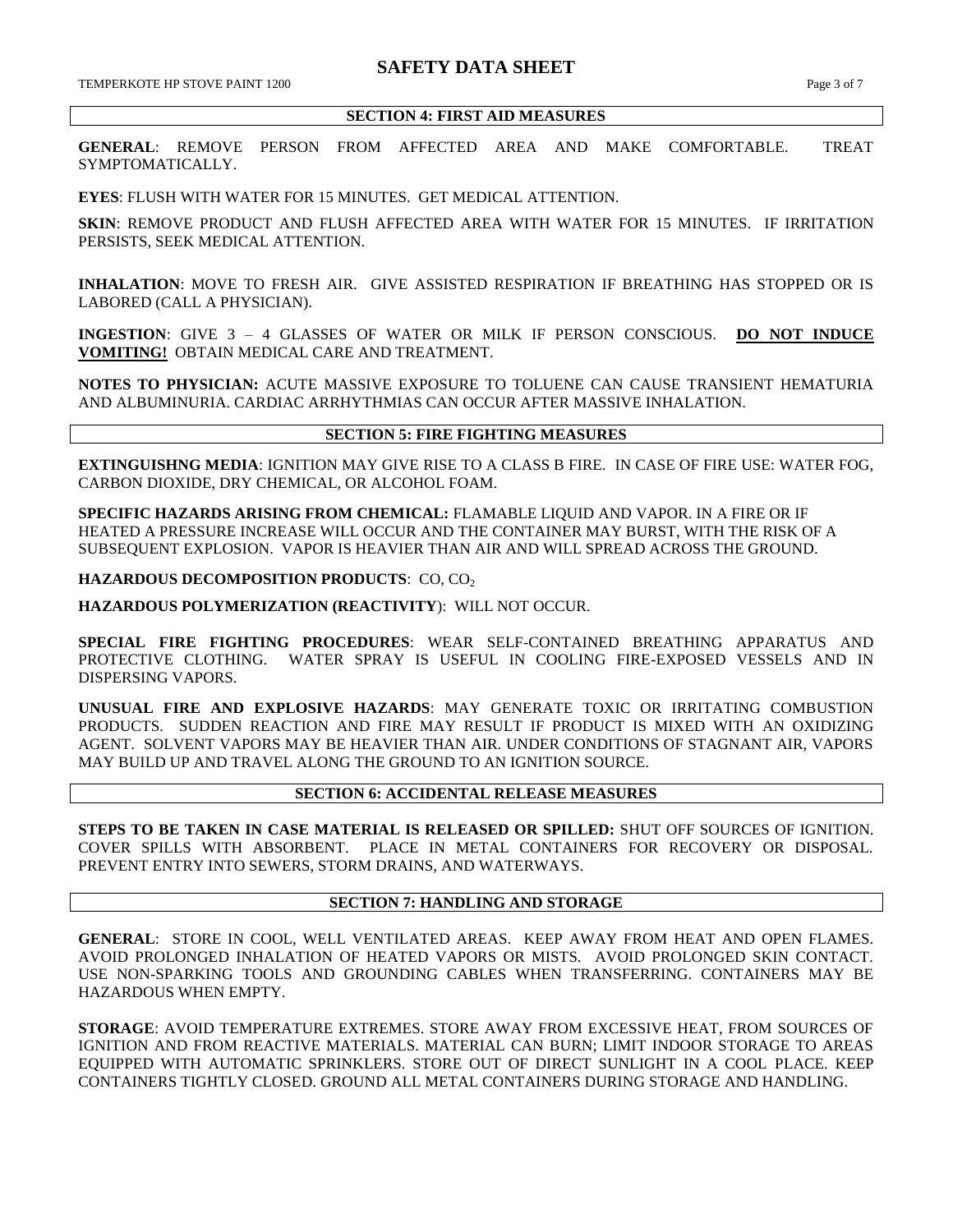#### **SECTION 4: FIRST AID MEASURES**

**GENERAL**: REMOVE PERSON FROM AFFECTED AREA AND MAKE COMFORTABLE. TREAT SYMPTOMATICALLY.

**EYES**: FLUSH WITH WATER FOR 15 MINUTES. GET MEDICAL ATTENTION.

**SKIN**: REMOVE PRODUCT AND FLUSH AFFECTED AREA WITH WATER FOR 15 MINUTES. IF IRRITATION PERSISTS, SEEK MEDICAL ATTENTION.

**INHALATION**: MOVE TO FRESH AIR. GIVE ASSISTED RESPIRATION IF BREATHING HAS STOPPED OR IS LABORED (CALL A PHYSICIAN).

**INGESTION**: GIVE 3 – 4 GLASSES OF WATER OR MILK IF PERSON CONSCIOUS. **DO NOT INDUCE VOMITING!** OBTAIN MEDICAL CARE AND TREATMENT.

**NOTES TO PHYSICIAN:** ACUTE MASSIVE EXPOSURE TO TOLUENE CAN CAUSE TRANSIENT HEMATURIA AND ALBUMINURIA. CARDIAC ARRHYTHMIAS CAN OCCUR AFTER MASSIVE INHALATION.

#### **SECTION 5: FIRE FIGHTING MEASURES**

**EXTINGUISHNG MEDIA**: IGNITION MAY GIVE RISE TO A CLASS B FIRE. IN CASE OF FIRE USE: WATER FOG, CARBON DIOXIDE, DRY CHEMICAL, OR ALCOHOL FOAM.

**SPECIFIC HAZARDS ARISING FROM CHEMICAL:** FLAMABLE LIQUID AND VAPOR. IN A FIRE OR IF HEATED A PRESSURE INCREASE WILL OCCUR AND THE CONTAINER MAY BURST, WITH THE RISK OF A SUBSEQUENT EXPLOSION. VAPOR IS HEAVIER THAN AIR AND WILL SPREAD ACROSS THE GROUND.

**HAZARDOUS DECOMPOSITION PRODUCTS: CO, CO<sub>2</sub>** 

**HAZARDOUS POLYMERIZATION (REACTIVITY**): WILL NOT OCCUR.

**SPECIAL FIRE FIGHTING PROCEDURES**: WEAR SELF-CONTAINED BREATHING APPARATUS AND PROTECTIVE CLOTHING. WATER SPRAY IS USEFUL IN COOLING FIRE-EXPOSED VESSELS AND IN DISPERSING VAPORS.

**UNUSUAL FIRE AND EXPLOSIVE HAZARDS**: MAY GENERATE TOXIC OR IRRITATING COMBUSTION PRODUCTS. SUDDEN REACTION AND FIRE MAY RESULT IF PRODUCT IS MIXED WITH AN OXIDIZING AGENT. SOLVENT VAPORS MAY BE HEAVIER THAN AIR. UNDER CONDITIONS OF STAGNANT AIR, VAPORS MAY BUILD UP AND TRAVEL ALONG THE GROUND TO AN IGNITION SOURCE.

**SECTION 6: ACCIDENTAL RELEASE MEASURES**

**STEPS TO BE TAKEN IN CASE MATERIAL IS RELEASED OR SPILLED:** SHUT OFF SOURCES OF IGNITION. COVER SPILLS WITH ABSORBENT. PLACE IN METAL CONTAINERS FOR RECOVERY OR DISPOSAL. PREVENT ENTRY INTO SEWERS, STORM DRAINS, AND WATERWAYS.

## **SECTION 7: HANDLING AND STORAGE**

**GENERAL**: STORE IN COOL, WELL VENTILATED AREAS. KEEP AWAY FROM HEAT AND OPEN FLAMES. AVOID PROLONGED INHALATION OF HEATED VAPORS OR MISTS. AVOID PROLONGED SKIN CONTACT. USE NON-SPARKING TOOLS AND GROUNDING CABLES WHEN TRANSFERRING. CONTAINERS MAY BE HAZARDOUS WHEN EMPTY.

**STORAGE**: AVOID TEMPERATURE EXTREMES. STORE AWAY FROM EXCESSIVE HEAT, FROM SOURCES OF IGNITION AND FROM REACTIVE MATERIALS. MATERIAL CAN BURN; LIMIT INDOOR STORAGE TO AREAS EQUIPPED WITH AUTOMATIC SPRINKLERS. STORE OUT OF DIRECT SUNLIGHT IN A COOL PLACE. KEEP CONTAINERS TIGHTLY CLOSED. GROUND ALL METAL CONTAINERS DURING STORAGE AND HANDLING.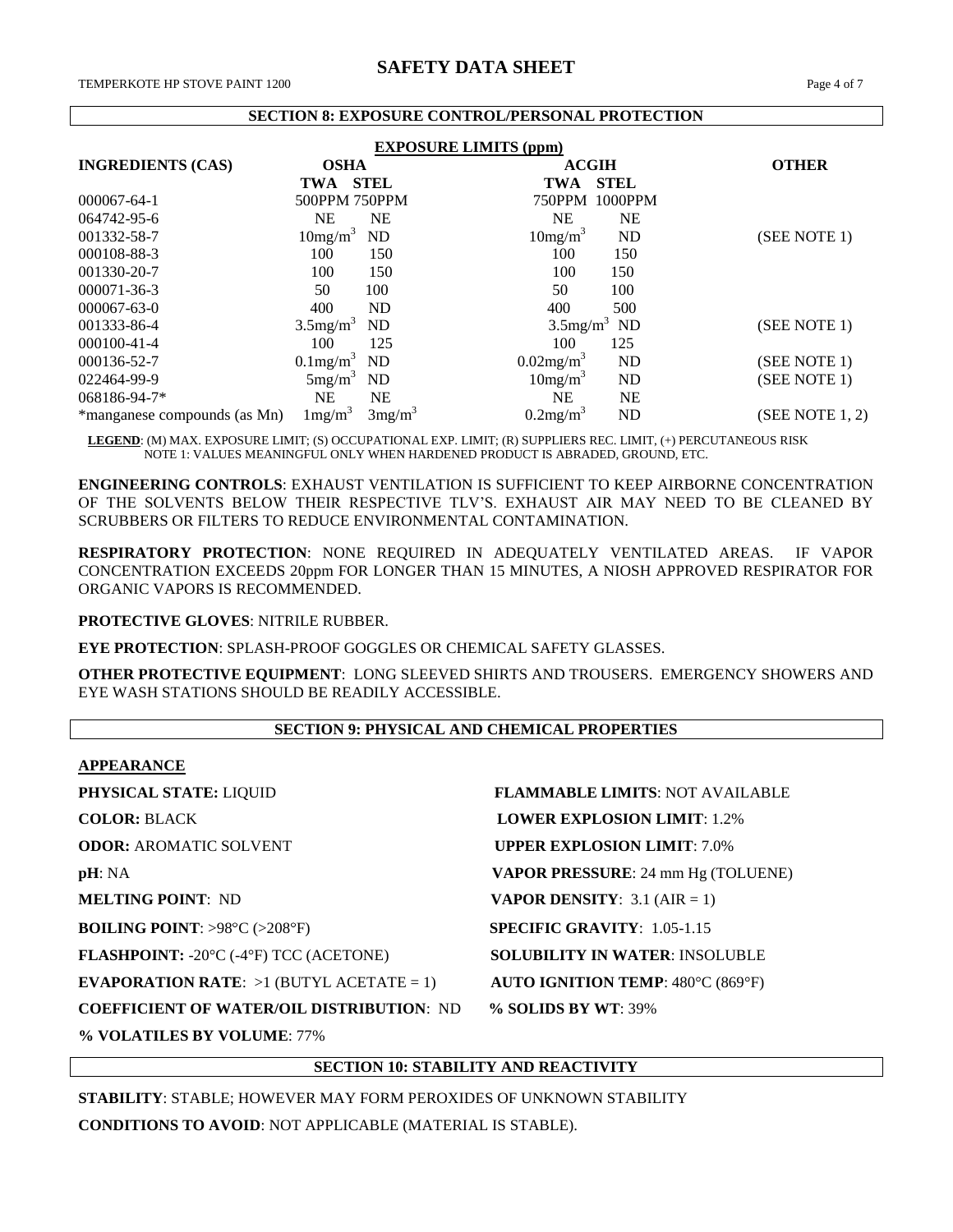#### **SECTION 8: EXPOSURE CONTROL/PERSONAL PROTECTION**

| <b>EXPOSURE LIMITS (ppm)</b> |                         |                    |                         |              |                 |
|------------------------------|-------------------------|--------------------|-------------------------|--------------|-----------------|
| <b>INGREDIENTS (CAS)</b>     | <b>OSHA</b>             |                    |                         | <b>ACGIH</b> | <b>OTHER</b>    |
|                              | TWA                     | <b>STEL</b>        | <b>TWA</b>              | <b>STEL</b>  |                 |
| 000067-64-1                  | 500PPM 750PPM           |                    | 750PPM                  | 1000PPM      |                 |
| 064742-95-6                  | <b>NE</b>               | <b>NE</b>          | NE                      | <b>NE</b>    |                 |
| 001332-58-7                  | 10mg/m <sup>3</sup>     | <b>ND</b>          | 10mg/m <sup>3</sup>     | ND           | (SEE NOTE 1)    |
| 000108-88-3                  | 100                     | 150                | 100                     | 150          |                 |
| 001330-20-7                  | 100                     | 150                | 100                     | 150          |                 |
| 000071-36-3                  | 50                      | 100                | 50                      | 100          |                 |
| $000067 - 63 - 0$            | 400                     | <b>ND</b>          | 400                     | 500          |                 |
| 001333-86-4                  | $3.5$ mg/m <sup>3</sup> | <b>ND</b>          | $3.5$ mg/m <sup>3</sup> | ND           | (SEE NOTE 1)    |
| 000100-41-4                  | 100                     | 125                | 100                     | 125          |                 |
| 000136-52-7                  | $0.1$ mg/m <sup>3</sup> | <b>ND</b>          | 0.02mg/m <sup>3</sup>   | <b>ND</b>    | (SEE NOTE 1)    |
| 022464-99-9                  | 5mg/m <sup>3</sup>      | <b>ND</b>          | 10mg/m <sup>3</sup>     | ND           | (SEE NOTE 1)    |
| 068186-94-7*                 | <b>NE</b>               | <b>NE</b>          | <b>NE</b>               | <b>NE</b>    |                 |
| *manganese compounds (as Mn) | $1 \text{mg/m}^3$       | 3mg/m <sup>3</sup> | $0.2$ mg/m <sup>3</sup> | ND           | (SEE NOTE 1, 2) |

 **LEGEND**: (M) MAX. EXPOSURE LIMIT; (S) OCCUPATIONAL EXP. LIMIT; (R) SUPPLIERS REC. LIMIT, (+) PERCUTANEOUS RISK NOTE 1: VALUES MEANINGFUL ONLY WHEN HARDENED PRODUCT IS ABRADED, GROUND, ETC.

**ENGINEERING CONTROLS**: EXHAUST VENTILATION IS SUFFICIENT TO KEEP AIRBORNE CONCENTRATION OF THE SOLVENTS BELOW THEIR RESPECTIVE TLV'S. EXHAUST AIR MAY NEED TO BE CLEANED BY SCRUBBERS OR FILTERS TO REDUCE ENVIRONMENTAL CONTAMINATION.

**RESPIRATORY PROTECTION**: NONE REQUIRED IN ADEQUATELY VENTILATED AREAS. IF VAPOR CONCENTRATION EXCEEDS 20ppm FOR LONGER THAN 15 MINUTES, A NIOSH APPROVED RESPIRATOR FOR ORGANIC VAPORS IS RECOMMENDED.

#### **PROTECTIVE GLOVES**: NITRILE RUBBER.

**EYE PROTECTION**: SPLASH-PROOF GOGGLES OR CHEMICAL SAFETY GLASSES.

**OTHER PROTECTIVE EQUIPMENT**: LONG SLEEVED SHIRTS AND TROUSERS. EMERGENCY SHOWERS AND EYE WASH STATIONS SHOULD BE READILY ACCESSIBLE.

# **SECTION 9: PHYSICAL AND CHEMICAL PROPERTIES**

#### **APPEARANCE**

| <b>PHYSICAL STATE: LIQUID</b>                                     | <b>FLAMMABLE LIMITS: NOT AVAILABLE</b>    |
|-------------------------------------------------------------------|-------------------------------------------|
| <b>COLOR: BLACK</b>                                               | <b>LOWER EXPLOSION LIMIT: 1.2%</b>        |
| <b>ODOR: AROMATIC SOLVENT</b>                                     | <b>UPPER EXPLOSION LIMIT: 7.0%</b>        |
| pH:NA                                                             | <b>VAPOR PRESSURE: 24 mm Hg (TOLUENE)</b> |
| <b>MELTING POINT: ND</b>                                          | <b>VAPOR DENSITY:</b> 3.1 (AIR = 1)       |
| <b>BOILING POINT:</b> >98 $^{\circ}$ C (>208 $^{\circ}$ F)        | <b>SPECIFIC GRAVITY:</b> $1.05-1.15$      |
| <b>FLASHPOINT:</b> $-20^{\circ}C$ ( $-4^{\circ}F$ ) TCC (ACETONE) | <b>SOLUBILITY IN WATER: INSOLUBLE</b>     |
| <b>EVAPORATION RATE:</b> $>1$ (BUTYL ACETATE = 1)                 | <b>AUTO IGNITION TEMP: 480°C (869°F)</b>  |
| <b>COEFFICIENT OF WATER/OIL DISTRIBUTION: ND</b>                  | <b>% SOLIDS BY WT: 39%</b>                |
| % VOLATILES BY VOLUME: 77%                                        |                                           |

#### **SECTION 10: STABILITY AND REACTIVITY**

**STABILITY**: STABLE; HOWEVER MAY FORM PEROXIDES OF UNKNOWN STABILITY **CONDITIONS TO AVOID**: NOT APPLICABLE (MATERIAL IS STABLE).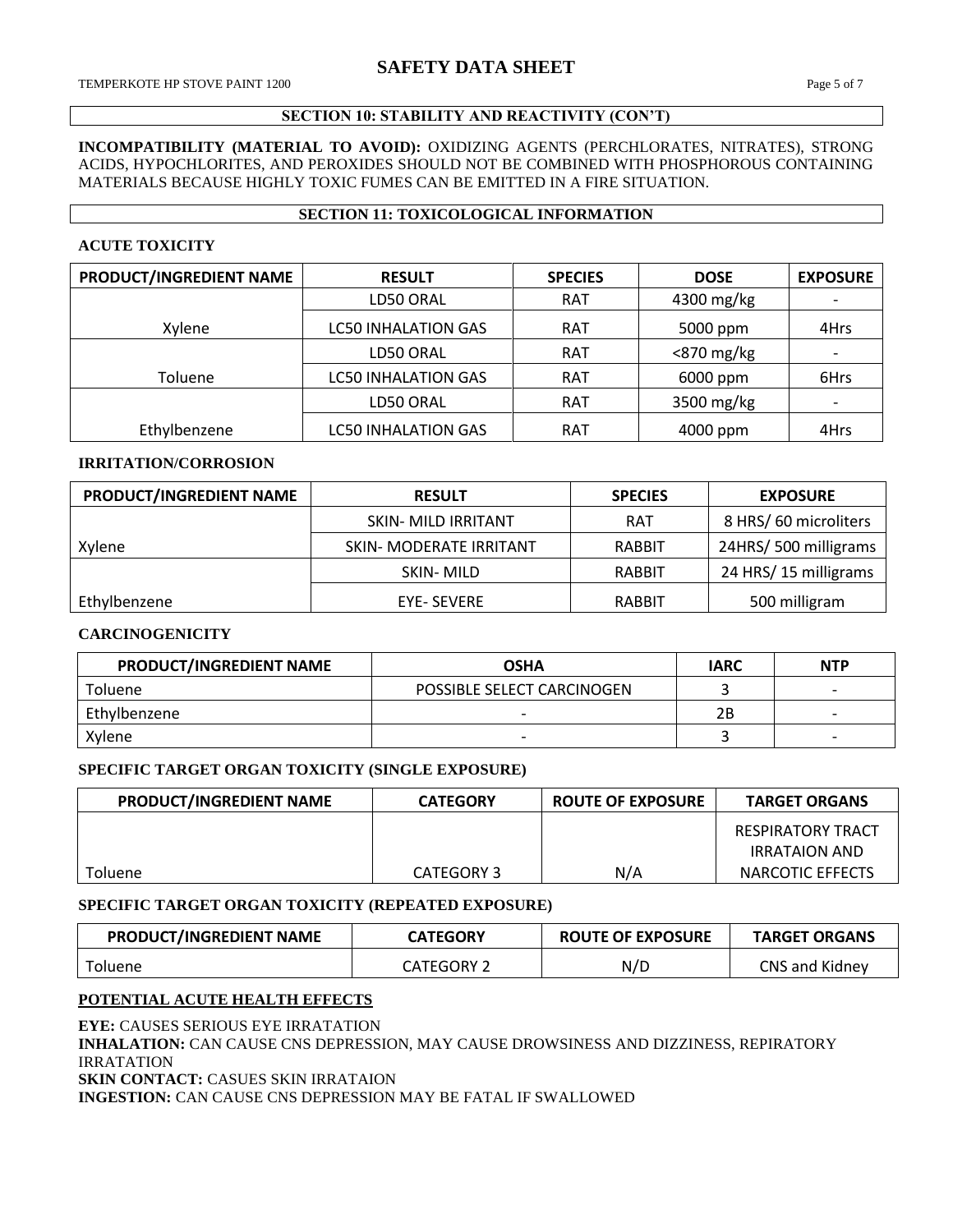### **SECTION 10: STABILITY AND REACTIVITY (CON'T)**

**INCOMPATIBILITY (MATERIAL TO AVOID):** OXIDIZING AGENTS (PERCHLORATES, NITRATES), STRONG ACIDS, HYPOCHLORITES, AND PEROXIDES SHOULD NOT BE COMBINED WITH PHOSPHOROUS CONTAINING MATERIALS BECAUSE HIGHLY TOXIC FUMES CAN BE EMITTED IN A FIRE SITUATION.

## **SECTION 11: TOXICOLOGICAL INFORMATION**

#### **ACUTE TOXICITY**

| PRODUCT/INGREDIENT NAME | <b>RESULT</b>              | <b>SPECIES</b> | <b>DOSE</b>   | <b>EXPOSURE</b> |
|-------------------------|----------------------------|----------------|---------------|-----------------|
|                         | LD50 ORAL                  | <b>RAT</b>     | 4300 mg/kg    |                 |
| Xylene                  | <b>LC50 INHALATION GAS</b> | <b>RAT</b>     | 5000 ppm      | 4Hrs            |
|                         | LD50 ORAL                  | <b>RAT</b>     | $<$ 870 mg/kg |                 |
| Toluene                 | <b>LC50 INHALATION GAS</b> | <b>RAT</b>     | 6000 ppm      | 6Hrs            |
|                         | LD50 ORAL                  | <b>RAT</b>     | 3500 mg/kg    |                 |
| Ethylbenzene            | <b>LC50 INHALATION GAS</b> | <b>RAT</b>     | 4000 ppm      | 4Hrs            |

## **IRRITATION/CORROSION**

| PRODUCT/INGREDIENT NAME | <b>RESULT</b>              | <b>SPECIES</b> | <b>EXPOSURE</b>      |
|-------------------------|----------------------------|----------------|----------------------|
|                         | <b>SKIN- MILD IRRITANT</b> | <b>RAT</b>     | 8 HRS/60 microliters |
| Xylene                  | SKIN- MODERATE IRRITANT    | <b>RABBIT</b>  | 24HRS/500 milligrams |
|                         | SKIN-MILD                  | <b>RABBIT</b>  | 24 HRS/15 milligrams |
| Ethylbenzene            | <b>EYE- SEVERE</b>         | <b>RABBIT</b>  | 500 milligram        |

## **CARCINOGENICITY**

| PRODUCT/INGREDIENT NAME | <b>OSHA</b>                | <b>IARC</b> | <b>NTP</b>               |
|-------------------------|----------------------------|-------------|--------------------------|
| <b>Toluene</b>          | POSSIBLE SELECT CARCINOGEN |             | $\overline{\phantom{0}}$ |
| Ethylbenzene            |                            | 2Β          |                          |
| Xylene                  | $\overline{\phantom{0}}$   |             | $\overline{\phantom{0}}$ |

## **SPECIFIC TARGET ORGAN TOXICITY (SINGLE EXPOSURE)**

| PRODUCT/INGREDIENT NAME | <b>CATEGORY</b> | <b>ROUTE OF EXPOSURE</b> | <b>TARGET ORGANS</b>                             |
|-------------------------|-----------------|--------------------------|--------------------------------------------------|
|                         |                 |                          | <b>RESPIRATORY TRACT</b><br><b>IRRATAION AND</b> |
|                         |                 |                          |                                                  |
| <b>Toluene</b>          | CATEGORY 3      | N/A                      | NARCOTIC EFFECTS                                 |

### **SPECIFIC TARGET ORGAN TOXICITY (REPEATED EXPOSURE)**

| PRODUCT/INGREDIENT NAME | <b>CATEGORY</b>   | <b>ROUTE OF EXPOSURE</b> | <b>TARGET ORGANS</b> |
|-------------------------|-------------------|--------------------------|----------------------|
| Toluene                 | <b>CATEGORY 2</b> | N/D                      | CNS and Kidney       |

## **POTENTIAL ACUTE HEALTH EFFECTS**

**EYE:** CAUSES SERIOUS EYE IRRATATION **INHALATION:** CAN CAUSE CNS DEPRESSION, MAY CAUSE DROWSINESS AND DIZZINESS, REPIRATORY IRRATATION **SKIN CONTACT:** CASUES SKIN IRRATAION **INGESTION:** CAN CAUSE CNS DEPRESSION MAY BE FATAL IF SWALLOWED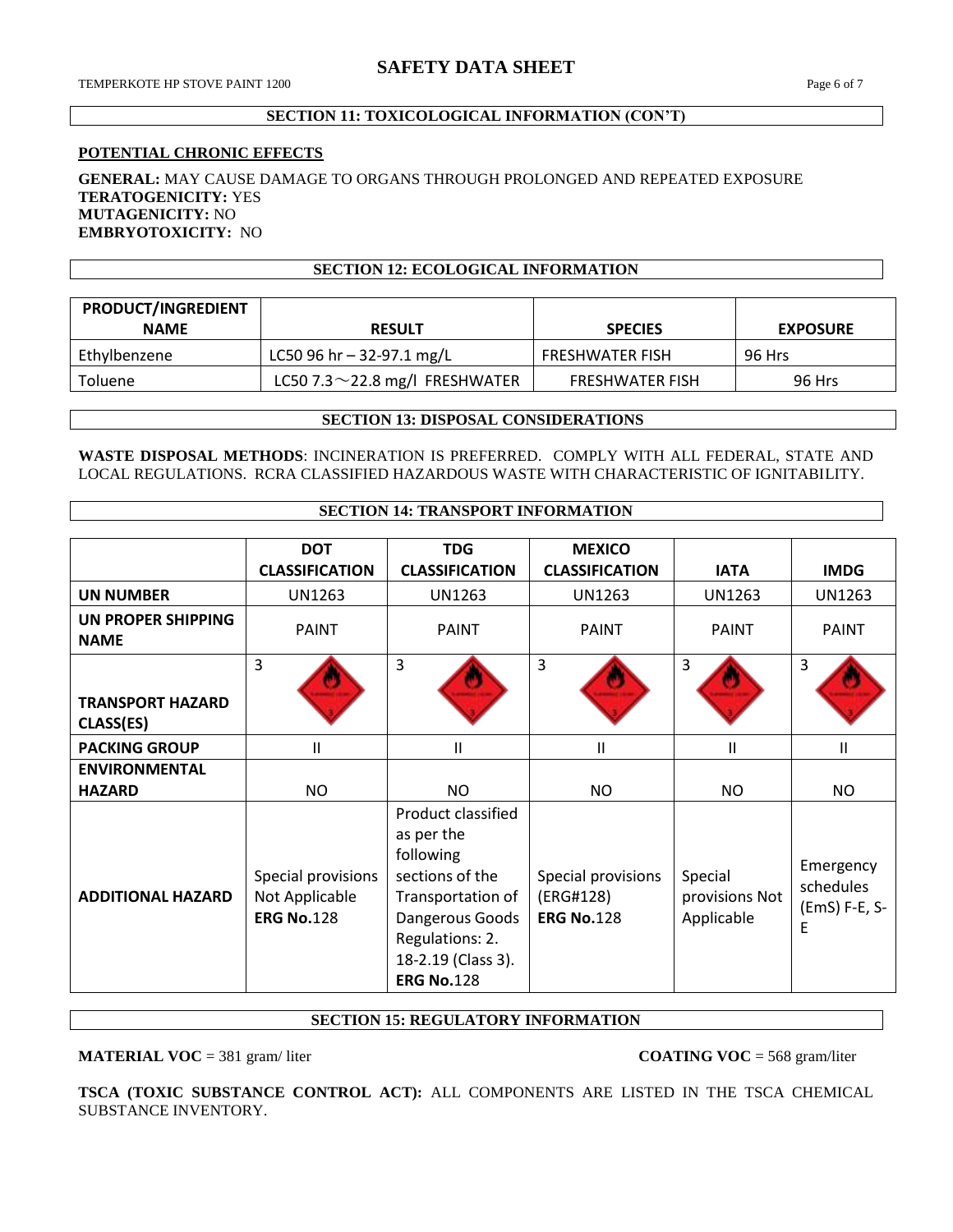Г

## **SECTION 11: TOXICOLOGICAL INFORMATION (CON'T)**

## **POTENTIAL CHRONIC EFFECTS**

## **GENERAL:** MAY CAUSE DAMAGE TO ORGANS THROUGH PROLONGED AND REPEATED EXPOSURE **TERATOGENICITY:** YES **MUTAGENICITY:** NO **EMBRYOTOXICITY:** NO

## **SECTION 12: ECOLOGICAL INFORMATION**

| <b>PRODUCT/INGREDIENT</b> |                                      |                        |                 |
|---------------------------|--------------------------------------|------------------------|-----------------|
| <b>NAME</b>               | <b>RESULT</b>                        | <b>SPECIES</b>         | <b>EXPOSURE</b> |
| Ethylbenzene              | LC50 96 hr – 32-97.1 mg/L            | <b>FRESHWATER FISH</b> | 96 Hrs          |
| Toluene                   | LC50 7.3 $\sim$ 22.8 mg/l FRESHWATER | <b>FRESHWATER FISH</b> | 96 Hrs          |

### **SECTION 13: DISPOSAL CONSIDERATIONS**

**WASTE DISPOSAL METHODS**: INCINERATION IS PREFERRED. COMPLY WITH ALL FEDERAL, STATE AND LOCAL REGULATIONS. RCRA CLASSIFIED HAZARDOUS WASTE WITH CHARACTERISTIC OF IGNITABILITY.

**SECTION 14: TRANSPORT INFORMATION**

|                                      | <b>DOT</b>                                                | <b>TDG</b>                                                                                                                                                             | <b>MEXICO</b>                                        |                                         |                                              |
|--------------------------------------|-----------------------------------------------------------|------------------------------------------------------------------------------------------------------------------------------------------------------------------------|------------------------------------------------------|-----------------------------------------|----------------------------------------------|
|                                      | <b>CLASSIFICATION</b>                                     | <b>CLASSIFICATION</b>                                                                                                                                                  | <b>CLASSIFICATION</b>                                | <b>IATA</b>                             | <b>IMDG</b>                                  |
| <b>UN NUMBER</b>                     | <b>UN1263</b>                                             | <b>UN1263</b>                                                                                                                                                          | <b>UN1263</b>                                        | <b>UN1263</b>                           | <b>UN1263</b>                                |
| UN PROPER SHIPPING<br><b>NAME</b>    | <b>PAINT</b>                                              | <b>PAINT</b>                                                                                                                                                           | <b>PAINT</b>                                         | <b>PAINT</b>                            | <b>PAINT</b>                                 |
|                                      | 3                                                         | 3                                                                                                                                                                      | $\overline{3}$                                       | 3                                       | 3                                            |
| <b>TRANSPORT HAZARD</b><br>CLASS(ES) |                                                           |                                                                                                                                                                        |                                                      |                                         |                                              |
| <b>PACKING GROUP</b>                 | Ш                                                         | Ш                                                                                                                                                                      | $\mathbf{H}$                                         | $\mathbf{H}$                            | Ш                                            |
| <b>ENVIRONMENTAL</b>                 |                                                           |                                                                                                                                                                        |                                                      |                                         |                                              |
| <b>HAZARD</b>                        | <b>NO</b>                                                 | NO.                                                                                                                                                                    | <b>NO</b>                                            | <b>NO</b>                               | <b>NO</b>                                    |
| <b>ADDITIONAL HAZARD</b>             | Special provisions<br>Not Applicable<br><b>ERG No.128</b> | Product classified<br>as per the<br>following<br>sections of the<br>Transportation of<br>Dangerous Goods<br>Regulations: 2.<br>18-2.19 (Class 3).<br><b>ERG No.128</b> | Special provisions<br>(ERG#128)<br><b>ERG No.128</b> | Special<br>provisions Not<br>Applicable | Emergency<br>schedules<br>(EmS) F-E, S-<br>E |

## **SECTION 15: REGULATORY INFORMATION**

**MATERIAL VOC** = 381 gram/liter **COATING VOC** = 568 gram/liter

**TSCA (TOXIC SUBSTANCE CONTROL ACT):** ALL COMPONENTS ARE LISTED IN THE TSCA CHEMICAL SUBSTANCE INVENTORY.